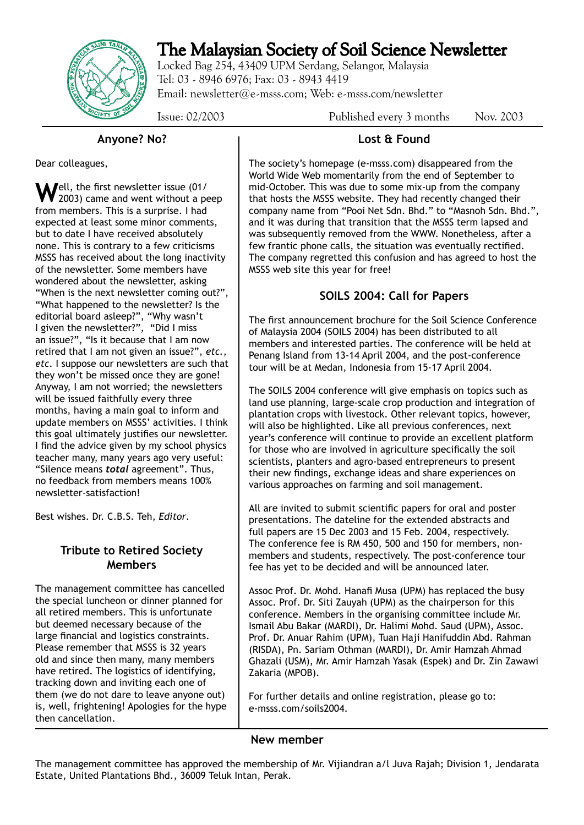# The Malaysian Society of Soil Science Newsletter

Locked Bag 254, 43409 UPM Serdang, Selangor, Malaysia Tel: 03 - 8946 6976; Fax: 03 - 8943 4419 Email: newsletter@e-msss.com; Web: e-msss.com/newsletter

Issue: 02/2003 Published every 3 months Nov. 2003

#### **Anyone? No?**

Dear colleagues,

Well, the first newsletter issue (01/<br>2003) came and went without a peep from members. This is a surprise. I had expected at least some minor comments, but to date I have received absolutely none. This is contrary to a few criticisms MSSS has received about the long inactivity of the newsletter. Some members have wondered about the newsletter, asking "When is the next newsletter coming out?", "What happened to the newsletter? Is the editorial board asleep?", "Why wasn't I given the newsletter?", "Did I miss an issue?", "Is it because that I am now retired that I am not given an issue?", *etc.*, *etc*. I suppose our newsletters are such that they won't be missed once they are gone! Anyway, I am not worried; the newsletters will be issued faithfully every three months, having a main goal to inform and update members on MSSS' activities. I think this goal ultimately justifies our newsletter. I find the advice given by my school physics teacher many, many years ago very useful: "Silence means *total* agreement". Thus, no feedback from members means 100% newsletter-satisfaction!

Best wishes. Dr. C.B.S. Teh, *Editor*.

## **Tribute to Retired Society Members**

The management committee has cancelled the special luncheon or dinner planned for all retired members. This is unfortunate but deemed necessary because of the large financial and logistics constraints. Please remember that MSSS is 32 years old and since then many, many members have retired. The logistics of identifying, tracking down and inviting each one of them (we do not dare to leave anyone out) is, well, frightening! Apologies for the hype then cancellation.

# **Lost & Found**

The society's homepage (e-msss.com) disappeared from the World Wide Web momentarily from the end of September to mid-October. This was due to some mix-up from the company that hosts the MSSS website. They had recently changed their company name from "Pooi Net Sdn. Bhd." to "Masnoh Sdn. Bhd.", and it was during that transition that the MSSS term lapsed and was subsequently removed from the WWW. Nonetheless, after a few frantic phone calls, the situation was eventually rectified. The company regretted this confusion and has agreed to host the MSSS web site this year for free!

# **SOILS 2004: Call for Papers**

The first announcement brochure for the Soil Science Conference of Malaysia 2004 (SOILS 2004) has been distributed to all members and interested parties. The conference will be held at Penang Island from 13-14 April 2004, and the post-conference tour will be at Medan, Indonesia from 15-17 April 2004.

The SOILS 2004 conference will give emphasis on topics such as land use planning, large-scale crop production and integration of plantation crops with livestock. Other relevant topics, however, will also be highlighted. Like all previous conferences, next year's conference will continue to provide an excellent platform for those who are involved in agriculture specifically the soil scientists, planters and agro-based entrepreneurs to present their new findings, exchange ideas and share experiences on various approaches on farming and soil management.

All are invited to submit scientific papers for oral and poster presentations. The dateline for the extended abstracts and full papers are 15 Dec 2003 and 15 Feb. 2004, respectively. The conference fee is RM 450, 500 and 150 for members, nonmembers and students, respectively. The post-conference tour fee has yet to be decided and will be announced later.

Assoc Prof. Dr. Mohd. Hanafi Musa (UPM) has replaced the busy Assoc. Prof. Dr. Siti Zauyah (UPM) as the chairperson for this conference. Members in the organising committee include Mr. Ismail Abu Bakar (MARDI), Dr. Halimi Mohd. Saud (UPM), Assoc. Prof. Dr. Anuar Rahim (UPM), Tuan Haji Hanifuddin Abd. Rahman (RISDA), Pn. Sariam Othman (MARDI), Dr. Amir Hamzah Ahmad Ghazali (USM), Mr. Amir Hamzah Yasak (Espek) and Dr. Zin Zawawi Zakaria (MPOB).

For further details and online registration, please go to: e-msss.com/soils2004.

#### **New member**

The management committee has approved the membership of Mr. Vijiandran a/l Juva Rajah; Division 1, Jendarata Estate, United Plantations Bhd., 36009 Teluk Intan, Perak.